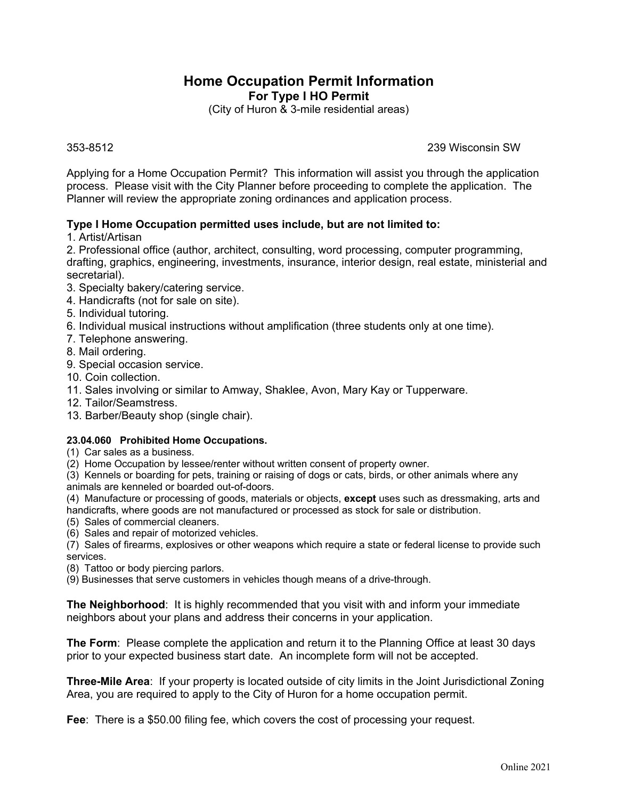## **Home Occupation Permit Information For Type I HO Permit**

(City of Huron & 3-mile residential areas)

353-8512 239 Wisconsin SW

Applying for a Home Occupation Permit? This information will assist you through the application process. Please visit with the City Planner before proceeding to complete the application. The Planner will review the appropriate zoning ordinances and application process.

### **Type I Home Occupation permitted uses include, but are not limited to:**

1. Artist/Artisan

2. Professional office (author, architect, consulting, word processing, computer programming, drafting, graphics, engineering, investments, insurance, interior design, real estate, ministerial and secretarial).

- 3. Specialty bakery/catering service.
- 4. Handicrafts (not for sale on site).
- 5. Individual tutoring.
- 6. Individual musical instructions without amplification (three students only at one time).
- 7. Telephone answering.
- 8. Mail ordering.
- 9. Special occasion service.
- 10. Coin collection.
- 11. Sales involving or similar to Amway, Shaklee, Avon, Mary Kay or Tupperware.
- 12. Tailor/Seamstress.
- 13. Barber/Beauty shop (single chair).

#### **23.04.060 Prohibited Home Occupations.**

(1) Car sales as a business.

(2) Home Occupation by lessee/renter without written consent of property owner.

(3) Kennels or boarding for pets, training or raising of dogs or cats, birds, or other animals where any animals are kenneled or boarded out-of-doors.

(4) Manufacture or processing of goods, materials or objects, **except** uses such as dressmaking, arts and handicrafts, where goods are not manufactured or processed as stock for sale or distribution.

- (5) Sales of commercial cleaners.
- (6) Sales and repair of motorized vehicles.

(7) Sales of firearms, explosives or other weapons which require a state or federal license to provide such services.

(8) Tattoo or body piercing parlors.

(9) Businesses that serve customers in vehicles though means of a drive-through.

**The Neighborhood**: It is highly recommended that you visit with and inform your immediate neighbors about your plans and address their concerns in your application.

**The Form**: Please complete the application and return it to the Planning Office at least 30 days prior to your expected business start date. An incomplete form will not be accepted.

**Three-Mile Area**: If your property is located outside of city limits in the Joint Jurisdictional Zoning Area, you are required to apply to the City of Huron for a home occupation permit.

**Fee**: There is a \$50.00 filing fee, which covers the cost of processing your request.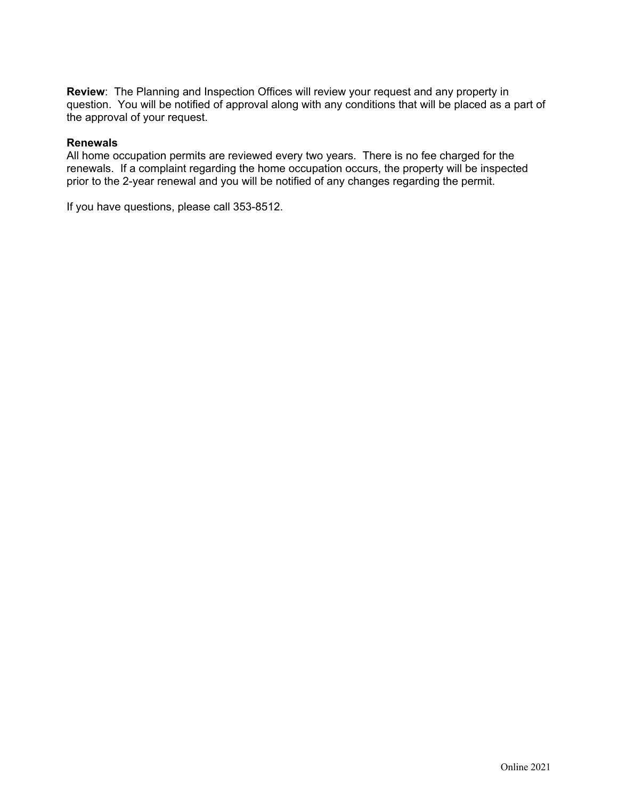**Review**: The Planning and Inspection Offices will review your request and any property in question. You will be notified of approval along with any conditions that will be placed as a part of the approval of your request.

#### **Renewals**

All home occupation permits are reviewed every two years. There is no fee charged for the renewals. If a complaint regarding the home occupation occurs, the property will be inspected prior to the 2-year renewal and you will be notified of any changes regarding the permit.

If you have questions, please call 353-8512.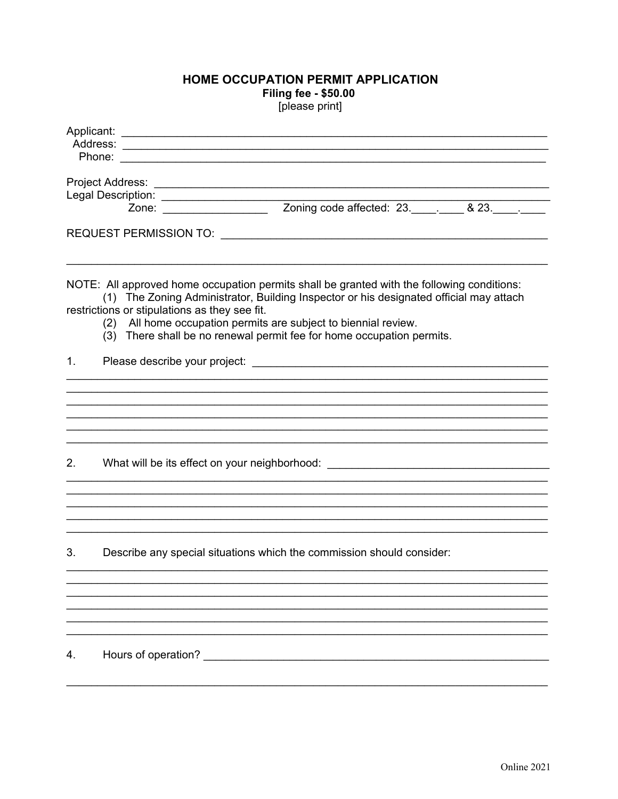# HOME OCCUPATION PERMIT APPLICATION **Filing fee - \$50.00**

[please print]

|    |                                               | Legal Description:<br>Zone: <u>Zone:</u> Zoning code affected: 23. ________ & 23. _______                                                                                                                                                                                                                                        |  |
|----|-----------------------------------------------|----------------------------------------------------------------------------------------------------------------------------------------------------------------------------------------------------------------------------------------------------------------------------------------------------------------------------------|--|
|    |                                               |                                                                                                                                                                                                                                                                                                                                  |  |
|    | restrictions or stipulations as they see fit. | NOTE: All approved home occupation permits shall be granted with the following conditions:<br>(1) The Zoning Administrator, Building Inspector or his designated official may attach<br>(2) All home occupation permits are subject to biennial review.<br>(3) There shall be no renewal permit fee for home occupation permits. |  |
| 1. |                                               | Please describe your project: example of the state of the state of the state of the state of the state of the state of the state of the state of the state of the state of the state of the state of the state of the state of                                                                                                   |  |
|    |                                               |                                                                                                                                                                                                                                                                                                                                  |  |
| 2. |                                               | What will be its effect on your neighborhood: __________________________________                                                                                                                                                                                                                                                 |  |
|    |                                               |                                                                                                                                                                                                                                                                                                                                  |  |
| 3. |                                               | Describe any special situations which the commission should consider:                                                                                                                                                                                                                                                            |  |
|    |                                               |                                                                                                                                                                                                                                                                                                                                  |  |
| 4. | Hours of operation?                           |                                                                                                                                                                                                                                                                                                                                  |  |